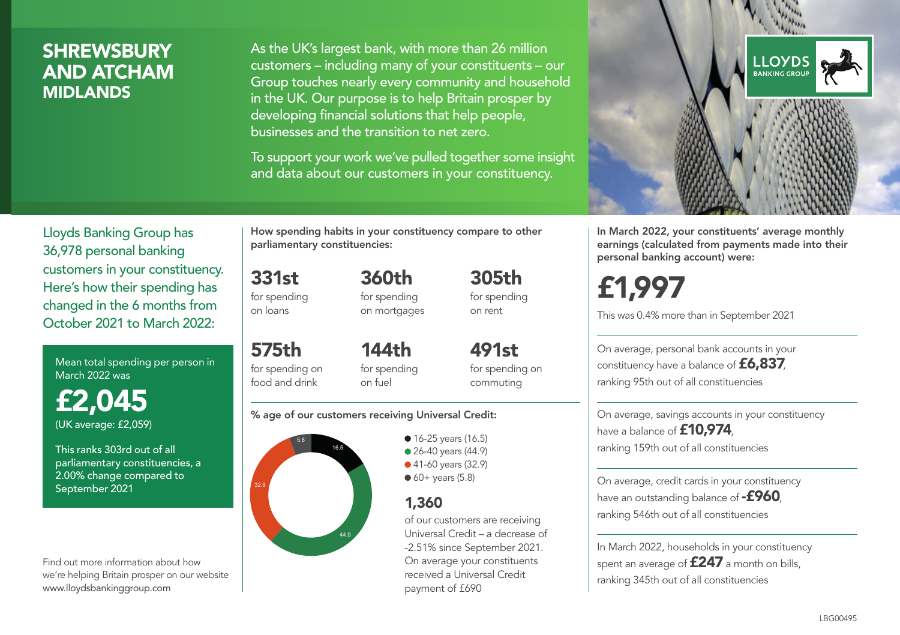### **SHREWSBURY** AND ATCHAM MIDLANDS

As the UK's largest bank, with more than 26 million customers – including many of your constituents – our Group touches nearly every community and household in the UK. Our purpose is to help Britain prosper by developing financial solutions that help people, businesses and the transition to net zero.

To support your work we've pulled together some insight and data about our customers in your constituency.



Mean total spending per person in March 2022 was

£2,045 (UK average: £2,059)

This ranks 303rd out of all parliamentary constituencies, a 2.00% change compared to September 2021

Find out more information about how we're helping Britain prosper on our website www.lloydsbankinggroup.com

How spending habits in your constituency compare to other parliamentary constituencies:

> 360th for spending on mortgages

331st for spending on loans

575th for spending on food and drink 144th on fuel

for spending for spending on commuting

#### % age of our customers receiving Universal Credit:



**16-25 years (16.5)** • 26-40 years (44.9) ● 41-60 years (32.9)  $60+$  years (5.8)

#### 1,360

of our customers are receiving Universal Credit – a decrease of -2.51% since September 2021. On average your constituents received a Universal Credit payment of £690

305th for spending on rent

491st



In March 2022, your constituents' average monthly earnings (calculated from payments made into their personal banking account) were:

# £1,997

This was 0.4% more than in September 2021

On average, personal bank accounts in your constituency have a balance of £6,837, ranking 95th out of all constituencies

On average, savings accounts in your constituency have a balance of **£10,974** ranking 159th out of all constituencies

On average, credit cards in your constituency have an outstanding balance of  $-$ £960, ranking 546th out of all constituencies

In March 2022, households in your constituency spent an average of £247 a month on bills, ranking 345th out of all constituencies